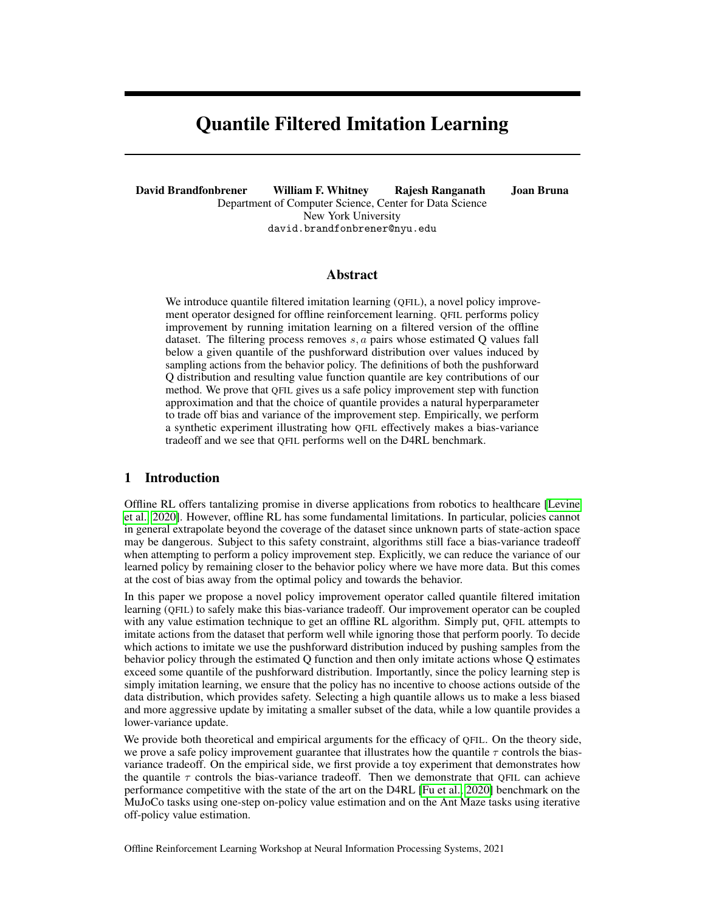# Quantile Filtered Imitation Learning

David Brandfonbrener William F. Whitney Rajesh Ranganath Joan Bruna Department of Computer Science, Center for Data Science New York University david.brandfonbrener@nyu.edu

## Abstract

We introduce quantile filtered imitation learning (QFIL), a novel policy improvement operator designed for offline reinforcement learning. QFIL performs policy improvement by running imitation learning on a filtered version of the offline dataset. The filtering process removes  $s, a$  pairs whose estimated Q values fall below a given quantile of the pushforward distribution over values induced by sampling actions from the behavior policy. The definitions of both the pushforward Q distribution and resulting value function quantile are key contributions of our method. We prove that QFIL gives us a safe policy improvement step with function approximation and that the choice of quantile provides a natural hyperparameter to trade off bias and variance of the improvement step. Empirically, we perform a synthetic experiment illustrating how QFIL effectively makes a bias-variance tradeoff and we see that QFIL performs well on the D4RL benchmark.

# 1 Introduction

Offline RL offers tantalizing promise in diverse applications from robotics to healthcare [\[Levine](#page-7-0) [et al., 2020\]](#page-7-0). However, offline RL has some fundamental limitations. In particular, policies cannot in general extrapolate beyond the coverage of the dataset since unknown parts of state-action space may be dangerous. Subject to this safety constraint, algorithms still face a bias-variance tradeoff when attempting to perform a policy improvement step. Explicitly, we can reduce the variance of our learned policy by remaining closer to the behavior policy where we have more data. But this comes at the cost of bias away from the optimal policy and towards the behavior.

In this paper we propose a novel policy improvement operator called quantile filtered imitation learning (QFIL) to safely make this bias-variance tradeoff. Our improvement operator can be coupled with any value estimation technique to get an offline RL algorithm. Simply put, QFIL attempts to imitate actions from the dataset that perform well while ignoring those that perform poorly. To decide which actions to imitate we use the pushforward distribution induced by pushing samples from the behavior policy through the estimated Q function and then only imitate actions whose Q estimates exceed some quantile of the pushforward distribution. Importantly, since the policy learning step is simply imitation learning, we ensure that the policy has no incentive to choose actions outside of the data distribution, which provides safety. Selecting a high quantile allows us to make a less biased and more aggressive update by imitating a smaller subset of the data, while a low quantile provides a lower-variance update.

We provide both theoretical and empirical arguments for the efficacy of QFIL. On the theory side, we prove a safe policy improvement guarantee that illustrates how the quantile  $\tau$  controls the biasvariance tradeoff. On the empirical side, we first provide a toy experiment that demonstrates how the quantile  $\tau$  controls the bias-variance tradeoff. Then we demonstrate that QFIL can achieve performance competitive with the state of the art on the D4RL [\[Fu et al., 2020\]](#page-7-1) benchmark on the MuJoCo tasks using one-step on-policy value estimation and on the Ant Maze tasks using iterative off-policy value estimation.

Offline Reinforcement Learning Workshop at Neural Information Processing Systems, 2021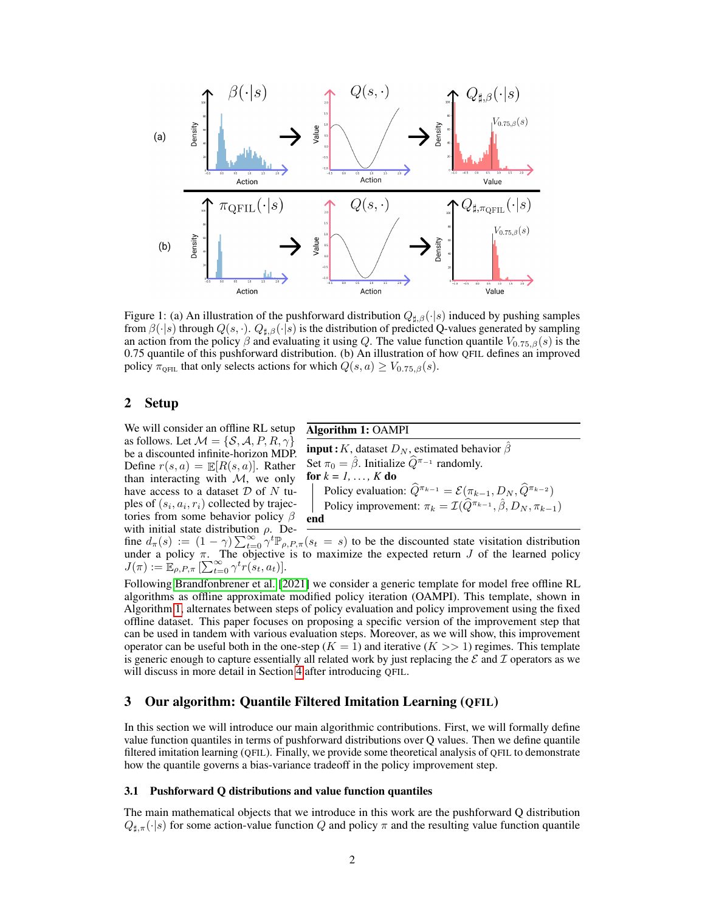

<span id="page-1-1"></span>Figure 1: (a) An illustration of the pushforward distribution  $Q_{\sharp,\beta}(\cdot|s)$  induced by pushing samples from  $\beta(\cdot|s)$  through  $Q(s, \cdot)$ .  $Q_{\sharp,\beta}(\cdot|s)$  is the distribution of predicted Q-values generated by sampling an action from the policy  $\beta$  and evaluating it using Q. The value function quantile  $V_{0.75,\beta}(s)$  is the 0.75 quantile of this pushforward distribution. (b) An illustration of how QFIL defines an improved policy  $\pi_{\text{QFL}}$  that only selects actions for which  $Q(s, a) \geq V_{0.75, \beta}(s)$ .

# <span id="page-1-2"></span>2 Setup

We will consider an offline RL setup as follows. Let  $\mathcal{M} = \{\mathcal{S}, \mathcal{A}, P, R, \gamma\}$ be a discounted infinite-horizon MDP. Define  $r(s, a) = \mathbb{E}[R(s, a)]$ . Rather than interacting with  $M$ , we only have access to a dataset  $D$  of  $N$  tuples of  $(s_i, a_i, r_i)$  collected by trajectories from some behavior policy  $\beta$ with initial state distribution  $\rho$ . De-

## Algorithm 1: OAMPI

<span id="page-1-0"></span>**input :** K, dataset  $D_N$ , estimated behavior  $\hat{\beta}$ Set  $\pi_0 = \hat{\beta}$ . Initialize  $\hat{Q}^{\pi_{-1}}$  randomly. for  $k = 1, \ldots, K$  do Policy evaluation:  $\widehat{Q}^{\pi_{k-1}} = \mathcal{E}(\pi_{k-1}, D_N, \widehat{Q}^{\pi_{k-2}})$ Policy improvement:  $\pi_k = \mathcal{I}(\widehat{Q}^{\pi_{k-1}}, \widehat{\beta}, D_N, \pi_{k-1})$ end

fine  $d_{\pi}(s) := (1 - \gamma) \sum_{t=0}^{\infty} \gamma^t \mathbb{P}_{\rho, P, \pi}(s_t = s)$  to be the discounted state visitation distribution under a policy  $\pi$ . The objective is to maximize the expected return J of the learned policy  $J(\pi) := \mathbb{E}_{\rho,P,\pi}\left[\sum_{t=0}^{\infty} \gamma^t r(s_t,a_t)\right].$ 

Following [Brandfonbrener et al.](#page-7-2) [\[2021\]](#page-7-2) we consider a generic template for model free offline RL algorithms as offline approximate modified policy iteration (OAMPI). This template, shown in Algorithm [1,](#page-1-0) alternates between steps of policy evaluation and policy improvement using the fixed offline dataset. This paper focuses on proposing a specific version of the improvement step that can be used in tandem with various evaluation steps. Moreover, as we will show, this improvement operator can be useful both in the one-step ( $K = 1$ ) and iterative ( $K >> 1$ ) regimes. This template is generic enough to capture essentially all related work by just replacing the  $\mathcal E$  and  $\mathcal I$  operators as we will discuss in more detail in Section [4](#page-4-0) after introducing QFIL.

## 3 Our algorithm: Quantile Filtered Imitation Learning (QFIL)

In this section we will introduce our main algorithmic contributions. First, we will formally define value function quantiles in terms of pushforward distributions over Q values. Then we define quantile filtered imitation learning (QFIL). Finally, we provide some theoretical analysis of QFIL to demonstrate how the quantile governs a bias-variance tradeoff in the policy improvement step.

#### 3.1 Pushforward Q distributions and value function quantiles

The main mathematical objects that we introduce in this work are the pushforward Q distribution  $Q_{\sharp,\pi}(\cdot|s)$  for some action-value function Q and policy  $\pi$  and the resulting value function quantile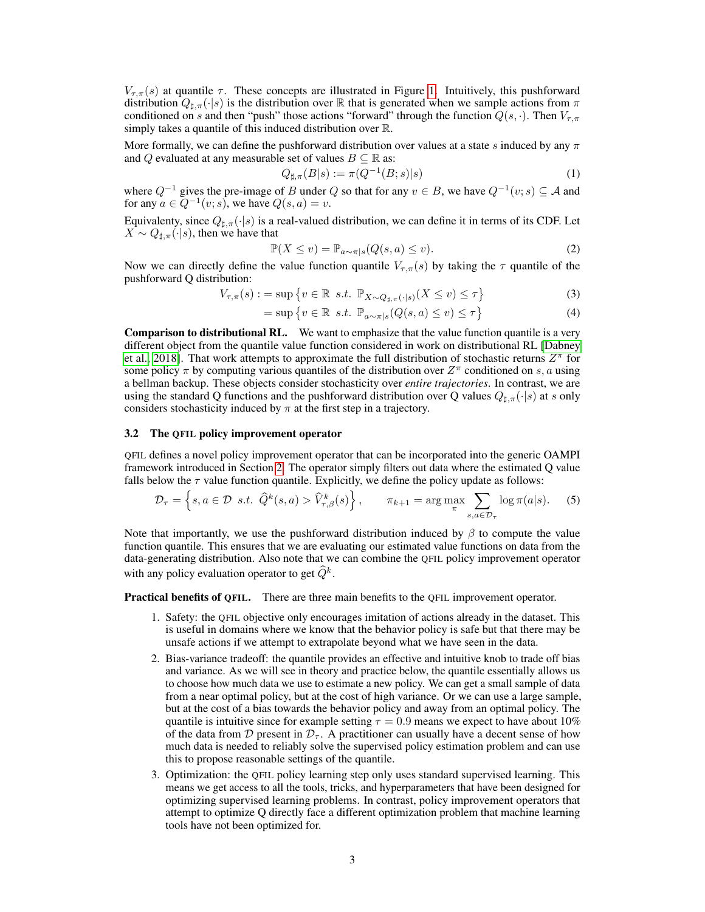$V_{\tau,\pi}(s)$  at quantile  $\tau$ . These concepts are illustrated in Figure [1.](#page-1-1) Intuitively, this pushforward distribution  $Q_{\sharp,\pi}(\cdot|s)$  is the distribution over R that is generated when we sample actions from  $\pi$ conditioned on s and then "push" those actions "forward" through the function  $Q(s, \cdot)$ . Then  $V_{\tau,\pi}$ simply takes a quantile of this induced distribution over R.

More formally, we can define the pushforward distribution over values at a state s induced by any  $\pi$ and Q evaluated at any measurable set of values  $B \subseteq \mathbb{R}$  as:

$$
Q_{\sharp,\pi}(B|s) := \pi(Q^{-1}(B;s)|s)
$$
\n(1)

where  $Q^{-1}$  gives the pre-image of B under Q so that for any  $v \in B$ , we have  $Q^{-1}(v; s) \subseteq A$  and for any  $a \in Q^{-1}(v; s)$ , we have  $Q(s, a) = v$ .

Equivalenty, since  $Q_{\sharp,\pi}(\cdot|s)$  is a real-valued distribution, we can define it in terms of its CDF. Let  $X \sim Q_{\sharp,\pi}(\cdot|s)$ , then we have that

$$
\mathbb{P}(X \le v) = \mathbb{P}_{a \sim \pi|s}(Q(s, a) \le v). \tag{2}
$$

Now we can directly define the value function quantile  $V_{\tau,\pi}(s)$  by taking the  $\tau$  quantile of the pushforward Q distribution:

$$
V_{\tau,\pi}(s) := \sup \left\{ v \in \mathbb{R} \ s.t. \ \mathbb{P}_{X \sim Q_{\sharp,\pi}(\cdot|s)}(X \le v) \le \tau \right\}
$$
 (3)

$$
= \sup \left\{ v \in \mathbb{R} \ s.t. \ \mathbb{P}_{a \sim \pi|s}(Q(s, a) \le v) \le \tau \right\}
$$
 (4)

Comparison to distributional RL. We want to emphasize that the value function quantile is a very different object from the quantile value function considered in work on distributional RL [\[Dabney](#page-7-3) [et al., 2018\]](#page-7-3). That work attempts to approximate the full distribution of stochastic returns  $Z^{\pi}$  for some policy  $\pi$  by computing various quantiles of the distribution over  $Z^{\pi}$  conditioned on s, a using a bellman backup. These objects consider stochasticity over *entire trajectories*. In contrast, we are using the standard Q functions and the pushforward distribution over Q values  $Q_{\sharp,\pi}(\cdot|s)$  at s only considers stochasticity induced by  $\pi$  at the first step in a trajectory.

#### 3.2 The QFIL policy improvement operator

QFIL defines a novel policy improvement operator that can be incorporated into the generic OAMPI framework introduced in Section [2.](#page-1-2) The operator simply filters out data where the estimated Q value falls below the  $\tau$  value function quantile. Explicitly, we define the policy update as follows:

$$
\mathcal{D}_{\tau} = \left\{ s, a \in \mathcal{D} \text{ s.t. } \widehat{Q}^k(s, a) > \widehat{V}_{\tau, \beta}^k(s) \right\}, \qquad \pi_{k+1} = \arg \max_{\pi} \sum_{s, a \in \mathcal{D}_{\tau}} \log \pi(a|s). \tag{5}
$$

Note that importantly, we use the pushforward distribution induced by  $\beta$  to compute the value function quantile. This ensures that we are evaluating our estimated value functions on data from the data-generating distribution. Also note that we can combine the QFIL policy improvement operator with any policy evaluation operator to get  $\widehat{Q}^k$ .

**Practical benefits of QFIL.** There are three main benefits to the QFIL improvement operator.

- 1. Safety: the QFIL objective only encourages imitation of actions already in the dataset. This is useful in domains where we know that the behavior policy is safe but that there may be unsafe actions if we attempt to extrapolate beyond what we have seen in the data.
- 2. Bias-variance tradeoff: the quantile provides an effective and intuitive knob to trade off bias and variance. As we will see in theory and practice below, the quantile essentially allows us to choose how much data we use to estimate a new policy. We can get a small sample of data from a near optimal policy, but at the cost of high variance. Or we can use a large sample, but at the cost of a bias towards the behavior policy and away from an optimal policy. The quantile is intuitive since for example setting  $\tau = 0.9$  means we expect to have about 10% of the data from D present in  $\mathcal{D}_{\tau}$ . A practitioner can usually have a decent sense of how much data is needed to reliably solve the supervised policy estimation problem and can use this to propose reasonable settings of the quantile.
- 3. Optimization: the QFIL policy learning step only uses standard supervised learning. This means we get access to all the tools, tricks, and hyperparameters that have been designed for optimizing supervised learning problems. In contrast, policy improvement operators that attempt to optimize Q directly face a different optimization problem that machine learning tools have not been optimized for.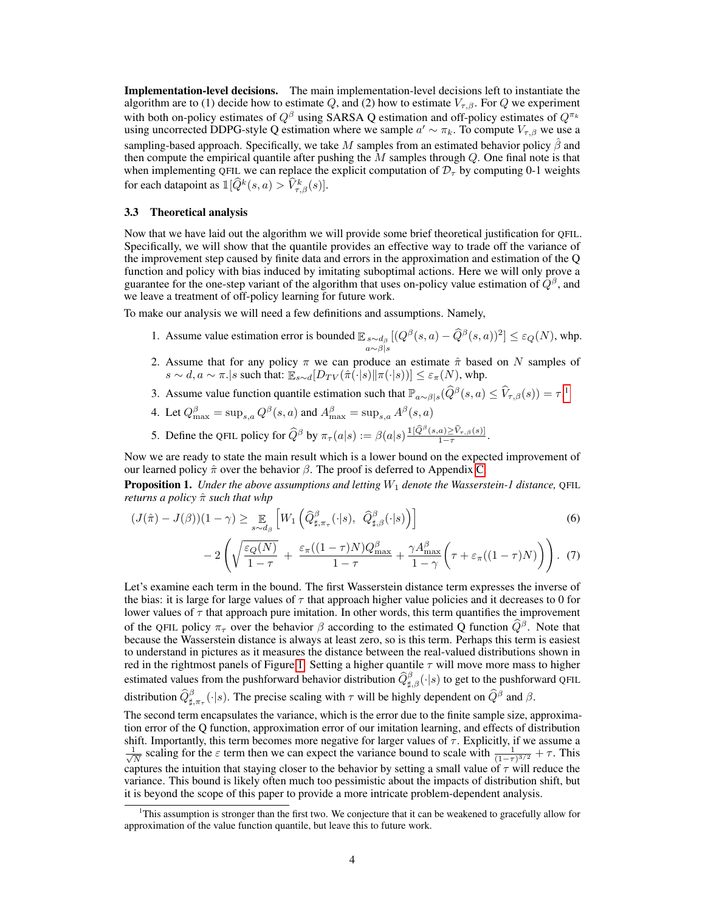Implementation-level decisions. The main implementation-level decisions left to instantiate the algorithm are to (1) decide how to estimate Q, and (2) how to estimate  $V_{\tau,\beta}$ . For Q we experiment with both on-policy estimates of  $Q^{\beta}$  using SARSA Q estimation and off-policy estimates of  $Q^{\pi_k}$ using uncorrected DDPG-style Q estimation where we sample  $a' \sim \pi_k$ . To compute  $V_{\tau,\beta}$  we use a sampling-based approach. Specifically, we take M samples from an estimated behavior policy  $\beta$  and then compute the empirical quantile after pushing the  $M$  samples through  $Q$ . One final note is that when implementing QFIL we can replace the explicit computation of  $\mathcal{D}_{\tau}$  by computing 0-1 weights for each datapoint as  $\mathbb{I}[\widehat{Q}^k(s,a) > \widehat{V}^k_{\tau,\beta}(s)].$ 

#### 3.3 Theoretical analysis

Now that we have laid out the algorithm we will provide some brief theoretical justification for QFIL. Specifically, we will show that the quantile provides an effective way to trade off the variance of the improvement step caused by finite data and errors in the approximation and estimation of the Q function and policy with bias induced by imitating suboptimal actions. Here we will only prove a guarantee for the one-step variant of the algorithm that uses on-policy value estimation of  $\hat{Q}^{\beta}$ , and we leave a treatment of off-policy learning for future work.

To make our analysis we will need a few definitions and assumptions. Namely,

- 1. Assume value estimation error is bounded  $\mathbb{E}_{\substack{s \sim d_\beta \\ a \sim \beta \mid s}}$  $[(Q^{\beta}(s, a) - \widehat{Q}^{\beta}(s, a))^2] \leq \varepsilon_Q(N)$ , whp.
- 2. Assume that for any policy  $\pi$  we can produce an estimate  $\hat{\pi}$  based on N samples of  $s \sim d, a \sim \pi$ . *s* such that:  $\mathbb{E}_{s \sim d}[D_{TV}(\hat{\pi}(\cdot|s)||\pi(\cdot|s))] \leq \varepsilon_{\pi}(N)$ , whp.
- 3. Assume value function quantile estimation such that  $\mathbb{P}_{a \sim \beta | s}(\widehat{Q}^{\beta}(s, a) \le \widehat{V}_{\tau, \beta}(s)) = \tau$ .<sup>[1](#page-3-0)</sup>
- 4. Let  $Q_{\text{max}}^{\beta} = \sup_{s,a} Q^{\beta}(s,a)$  and  $A_{\text{max}}^{\beta} = \sup_{s,a} A^{\beta}(s,a)$
- 5. Define the QFIL policy for  $\widehat{Q}^{\beta}$  by  $\pi_{\tau}(a|s) := \beta(a|s) \frac{\mathbb{1}[\widehat{Q}^{\beta}(s,a) \ge \widehat{V}_{\tau,\beta}(s)]}{1-\tau}$ .

Now we are ready to state the main result which is a lower bound on the expected improvement of our learned policy  $\hat{\pi}$  over the behavior  $\beta$ . The proof is deferred to Appendix [C.](#page-10-0)

Proposition 1. *Under the above assumptions and letting* W<sup>1</sup> *denote the Wasserstein-1 distance,* QFIL *returns a policy* πˆ *such that whp*

$$
(J(\hat{\pi}) - J(\beta))(1 - \gamma) \ge \mathbb{E}_{s \sim d_{\beta}} \left[ W_1 \left( \widehat{Q}_{\sharp,\pi_{\tau}}^{\beta}(\cdot|s), \ \widehat{Q}_{\sharp,\beta}^{\beta}(\cdot|s) \right) \right]
$$
  
- 2 \left( \sqrt{\frac{\varepsilon\_{Q}(N)}{1 - \tau}} + \frac{\varepsilon\_{\pi}((1 - \tau)N)Q\_{\max}^{\beta}}{1 - \tau} + \frac{\gamma A\_{\max}^{\beta}}{1 - \gamma} \left( \tau + \varepsilon\_{\pi}((1 - \tau)N) \right) \right). (7)

Let's examine each term in the bound. The first Wasserstein distance term expresses the inverse of the bias: it is large for large values of  $\tau$  that approach higher value policies and it decreases to 0 for lower values of  $\tau$  that approach pure imitation. In other words, this term quantifies the improvement of the QFIL policy  $\pi_{\tau}$  over the behavior  $\beta$  according to the estimated Q function  $\hat{Q}^{\beta}$ . Note that because the Wasserstein distance is always at least zero, so is this term. Perhaps this term is easiest to understand in pictures as it measures the distance between the real-valued distributions shown in red in the rightmost panels of Figure [1.](#page-1-1) Setting a higher quantile  $\tau$  will move more mass to higher estimated values from the pushforward behavior distribution  $\hat{Q}_{\sharp,\beta}^{\beta}(\cdot|s)$  to get to the pushforward QFIL distribution  $\widehat{Q}_{\sharp,\pi_{\tau}}^{\beta}(\cdot|s)$ . The precise scaling with  $\tau$  will be highly dependent on  $\widehat{Q}^{\beta}$  and  $\beta$ .

The second term encapsulates the variance, which is the error due to the finite sample size, approximation error of the Q function, approximation error of our imitation learning, and effects of distribution shift. Importantly, this term becomes more negative for larger values of  $\tau$ . Explicitly, if we assume a  $\frac{1}{\sqrt{2}}$  $\frac{1}{N}$  scaling for the  $\varepsilon$  term then we can expect the variance bound to scale with  $\frac{1}{(1-\tau)^{3/2}} + \tau$ . This captures the intuition that staying closer to the behavior by setting a small value of  $\tau$  will reduce the variance. This bound is likely often much too pessimistic about the impacts of distribution shift, but it is beyond the scope of this paper to provide a more intricate problem-dependent analysis.

<span id="page-3-0"></span><sup>1</sup>This assumption is stronger than the first two. We conjecture that it can be weakened to gracefully allow for approximation of the value function quantile, but leave this to future work.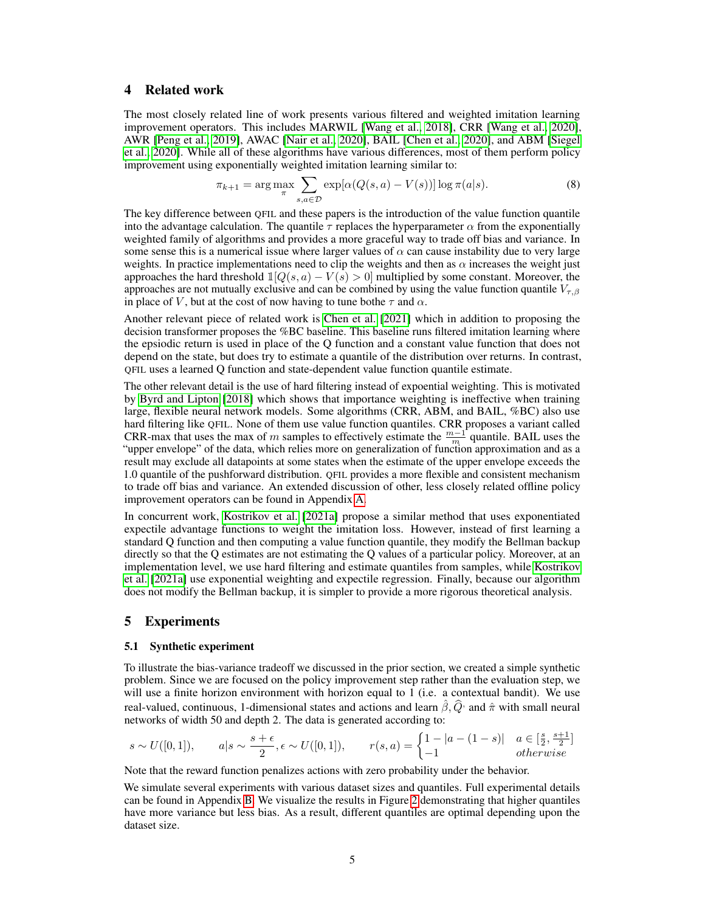# <span id="page-4-0"></span>4 Related work

The most closely related line of work presents various filtered and weighted imitation learning improvement operators. This includes MARWIL [\[Wang et al., 2018\]](#page-8-0), CRR [\[Wang et al., 2020\]](#page-8-1), AWR [\[Peng et al., 2019\]](#page-8-2), AWAC [\[Nair et al., 2020\]](#page-7-4), BAIL [\[Chen et al., 2020\]](#page-7-5), and ABM [\[Siegel](#page-8-3) [et al., 2020\]](#page-8-3). While all of these algorithms have various differences, most of them perform policy improvement using exponentially weighted imitation learning similar to:

$$
\pi_{k+1} = \arg\max_{\pi} \sum_{s,a \in \mathcal{D}} \exp[\alpha(Q(s,a) - V(s))] \log \pi(a|s). \tag{8}
$$

The key difference between QFIL and these papers is the introduction of the value function quantile into the advantage calculation. The quantile  $\tau$  replaces the hyperparameter  $\alpha$  from the exponentially weighted family of algorithms and provides a more graceful way to trade off bias and variance. In some sense this is a numerical issue where larger values of  $\alpha$  can cause instability due to very large weights. In practice implementations need to clip the weights and then as  $\alpha$  increases the weight just approaches the hard threshold  $\mathbb{1}[Q(s, a) - V(s) > 0]$  multiplied by some constant. Moreover, the approaches are not mutually exclusive and can be combined by using the value function quantile  $V_{\tau,\beta}$ in place of V, but at the cost of now having to tune bothe  $\tau$  and  $\alpha$ .

Another relevant piece of related work is [Chen et al.](#page-7-6) [\[2021\]](#page-7-6) which in addition to proposing the decision transformer proposes the %BC baseline. This baseline runs filtered imitation learning where the epsiodic return is used in place of the Q function and a constant value function that does not depend on the state, but does try to estimate a quantile of the distribution over returns. In contrast, QFIL uses a learned Q function and state-dependent value function quantile estimate.

The other relevant detail is the use of hard filtering instead of expoential weighting. This is motivated by [Byrd and Lipton](#page-7-7) [\[2018\]](#page-7-7) which shows that importance weighting is ineffective when training large, flexible neural network models. Some algorithms (CRR, ABM, and BAIL, %BC) also use hard filtering like QFIL. None of them use value function quantiles. CRR proposes a variant called CRR-max that uses the max of m samples to effectively estimate the  $\frac{m-1}{m}$  quantile. BAIL uses the "upper envelope" of the data, which relies more on generalization of function approximation and as a result may exclude all datapoints at some states when the estimate of the upper envelope exceeds the 1.0 quantile of the pushforward distribution. QFIL provides a more flexible and consistent mechanism to trade off bias and variance. An extended discussion of other, less closely related offline policy improvement operators can be found in Appendix [A.](#page-9-0)

In concurrent work, [Kostrikov et al.](#page-7-8) [\[2021a\]](#page-7-8) propose a similar method that uses exponentiated expectile advantage functions to weight the imitation loss. However, instead of first learning a standard Q function and then computing a value function quantile, they modify the Bellman backup directly so that the Q estimates are not estimating the Q values of a particular policy. Moreover, at an implementation level, we use hard filtering and estimate quantiles from samples, while [Kostrikov](#page-7-8) [et al.](#page-7-8) [\[2021a\]](#page-7-8) use exponential weighting and expectile regression. Finally, because our algorithm does not modify the Bellman backup, it is simpler to provide a more rigorous theoretical analysis.

# 5 Experiments

#### 5.1 Synthetic experiment

To illustrate the bias-variance tradeoff we discussed in the prior section, we created a simple synthetic problem. Since we are focused on the policy improvement step rather than the evaluation step, we will use a finite horizon environment with horizon equal to 1 (i.e. a contextual bandit). We use real-valued, continuous, 1-dimensional states and actions and learn  $\hat{\beta}$ ,  $\hat{Q}$  and  $\hat{\pi}$  with small neural neural networks of width 50 and depth 2. The data is generated according to:

$$
s \sim U([0,1]), \qquad a|s \sim \frac{s+\epsilon}{2}, \epsilon \sim U([0,1]), \qquad r(s,a) = \begin{cases} 1-|a-(1-s)| & a \in \left[\frac{s}{2}, \frac{s+1}{2}\right] \\ -1 & otherwise \end{cases}
$$

Note that the reward function penalizes actions with zero probability under the behavior.

We simulate several experiments with various dataset sizes and quantiles. Full experimental details can be found in Appendix [B.](#page-9-1) We visualize the results in Figure [2](#page-5-0) demonstrating that higher quantiles have more variance but less bias. As a result, different quantiles are optimal depending upon the dataset size.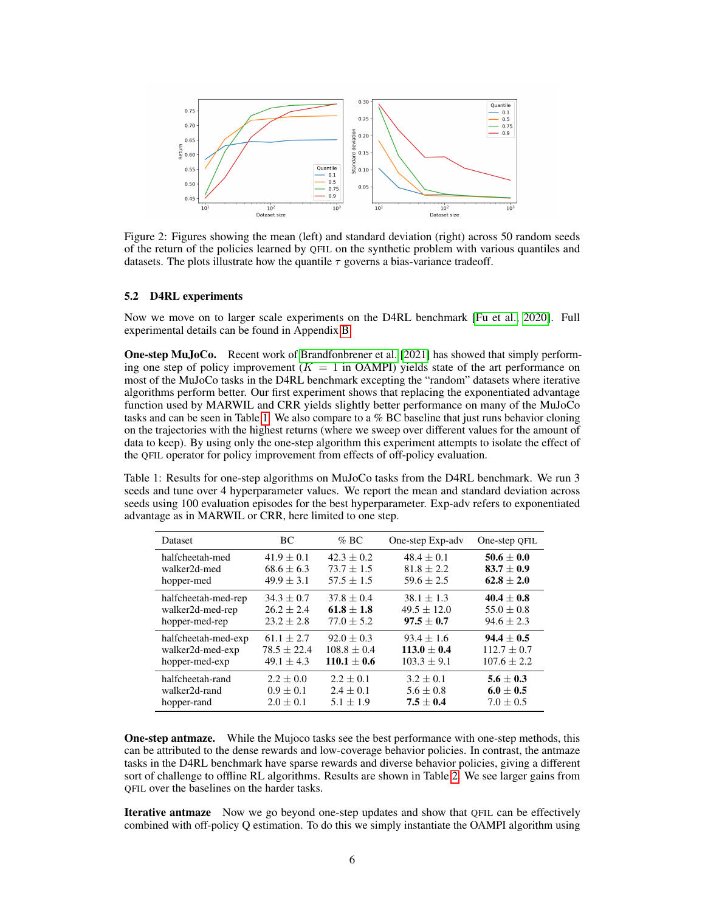

<span id="page-5-0"></span>Figure 2: Figures showing the mean (left) and standard deviation (right) across 50 random seeds of the return of the policies learned by QFIL on the synthetic problem with various quantiles and datasets. The plots illustrate how the quantile  $\tau$  governs a bias-variance tradeoff.

#### 5.2 D4RL experiments

Now we move on to larger scale experiments on the D4RL benchmark [\[Fu et al., 2020\]](#page-7-1). Full experimental details can be found in Appendix [B.](#page-9-1)

One-step MuJoCo. Recent work of [Brandfonbrener et al.](#page-7-2) [\[2021\]](#page-7-2) has showed that simply performing one step of policy improvement  $(K = 1$  in OAMPI) yields state of the art performance on most of the MuJoCo tasks in the D4RL benchmark excepting the "random" datasets where iterative algorithms perform better. Our first experiment shows that replacing the exponentiated advantage function used by MARWIL and CRR yields slightly better performance on many of the MuJoCo tasks and can be seen in Table [1.](#page-5-1) We also compare to a % BC baseline that just runs behavior cloning on the trajectories with the highest returns (where we sweep over different values for the amount of data to keep). By using only the one-step algorithm this experiment attempts to isolate the effect of the QFIL operator for policy improvement from effects of off-policy evaluation.

<span id="page-5-1"></span>Table 1: Results for one-step algorithms on MuJoCo tasks from the D4RL benchmark. We run 3 seeds and tune over 4 hyperparameter values. We report the mean and standard deviation across seeds using 100 evaluation episodes for the best hyperparameter. Exp-adv refers to exponentiated advantage as in MARWIL or CRR, here limited to one step.

| <b>Dataset</b>      | BC.             | $%$ BC          | One-step Exp-adv | One-step QFIL   |
|---------------------|-----------------|-----------------|------------------|-----------------|
| halfcheetah-med     | $41.9 + 0.1$    | $42.3 + 0.2$    | $48.4 + 0.1$     | $50.6 \pm 0.0$  |
| walker2d-med        | $68.6 \pm 6.3$  | $73.7 \pm 1.5$  | $81.8 \pm 2.2$   | $83.7 \pm 0.9$  |
| hopper-med          | $49.9 \pm 3.1$  | $57.5 \pm 1.5$  | $59.6 + 2.5$     | $62.8 + 2.0$    |
| halfcheetah-med-rep | $34.3 \pm 0.7$  | $37.8 \pm 0.4$  | $38.1 \pm 1.3$   | $40.4 \pm 0.8$  |
| walker2d-med-rep    | $26.2 + 2.4$    | $61.8 + 1.8$    | $49.5 \pm 12.0$  | $55.0 \pm 0.8$  |
| hopper-med-rep      | $23.2 \pm 2.8$  | $77.0 \pm 5.2$  | $97.5 \pm 0.7$   | $94.6 \pm 2.3$  |
| halfcheetah-med-exp | $61.1 \pm 2.7$  | $92.0 \pm 0.3$  | $93.4 \pm 1.6$   | $94.4 \pm 0.5$  |
| walker2d-med-exp    | $78.5 \pm 22.4$ | $108.8 \pm 0.4$ | $113.0 + 0.4$    | $112.7 \pm 0.7$ |
| hopper-med-exp      | $49.1 \pm 4.3$  | $110.1 + 0.6$   | $103.3 \pm 9.1$  | $107.6 \pm 2.2$ |
| halfcheetah-rand    | $2.2 \pm 0.0$   | $2.2 + 0.1$     | $3.2 \pm 0.1$    | $5.6 \pm 0.3$   |
| walker2d-rand       | $0.9 \pm 0.1$   | $2.4 \pm 0.1$   | $5.6 \pm 0.8$    | $6.0 \pm 0.5$   |
| hopper-rand         | $2.0 \pm 0.1$   | $5.1 \pm 1.9$   | $7.5 + 0.4$      | $7.0 \pm 0.5$   |

**One-step antmaze.** While the Mujoco tasks see the best performance with one-step methods, this can be attributed to the dense rewards and low-coverage behavior policies. In contrast, the antmaze tasks in the D4RL benchmark have sparse rewards and diverse behavior policies, giving a different sort of challenge to offline RL algorithms. Results are shown in Table [2.](#page-6-0) We see larger gains from QFIL over the baselines on the harder tasks.

**Iterative antmaze** Now we go beyond one-step updates and show that OFIL can be effectively combined with off-policy Q estimation. To do this we simply instantiate the OAMPI algorithm using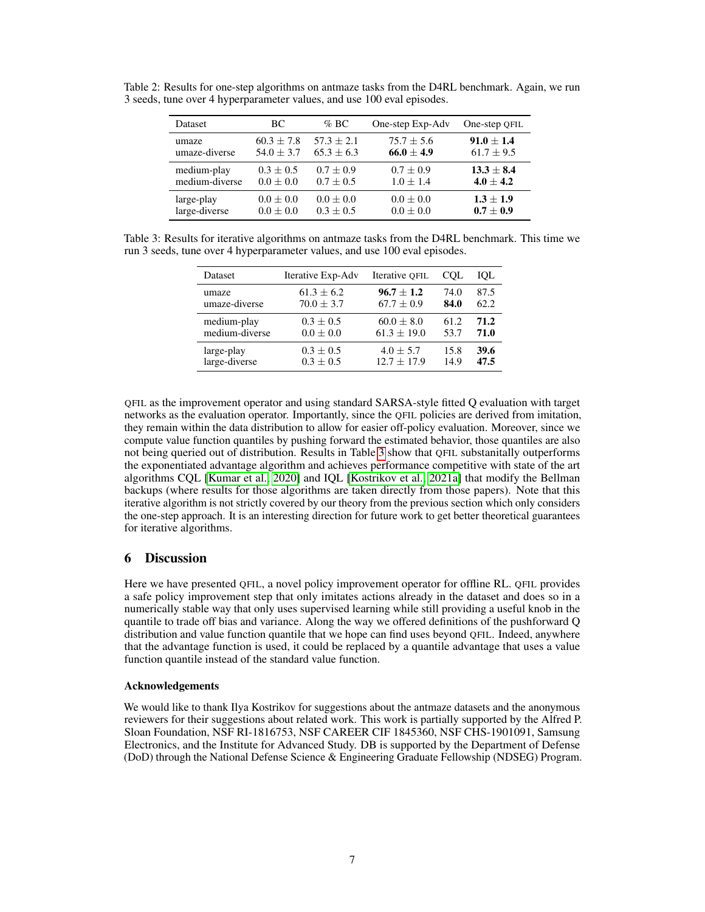<span id="page-6-0"></span>

| Dataset        | BC             | $\%$ BC       | One-step Exp-Adv | One-step QFIL  |
|----------------|----------------|---------------|------------------|----------------|
| umaze          | $60.3 \pm 7.8$ | $57.3 + 2.1$  | $75.7 \pm 5.6$   | $91.0 + 1.4$   |
| umaze-diverse  | $54.0 \pm 3.7$ | $65.3 + 6.3$  | $66.0 \pm 4.9$   | $61.7 \pm 9.5$ |
| medium-play    | $0.3 \pm 0.5$  | $0.7 \pm 0.9$ | $0.7 \pm 0.9$    | $13.3 \pm 8.4$ |
| medium-diverse | $0.0 \pm 0.0$  | $0.7 \pm 0.5$ | $1.0 \pm 1.4$    | $4.0 \pm 4.2$  |
| large-play     | $0.0 \pm 0.0$  | $0.0 \pm 0.0$ | $0.0 \pm 0.0$    | $1.3 \pm 1.9$  |
| large-diverse  | $0.0 \pm 0.0$  | $0.3 \pm 0.5$ | $0.0 \pm 0.0$    | $0.7 \pm 0.9$  |

Table 2: Results for one-step algorithms on antmaze tasks from the D4RL benchmark. Again, we run 3 seeds, tune over 4 hyperparameter values, and use 100 eval episodes.

<span id="page-6-1"></span>Table 3: Results for iterative algorithms on antmaze tasks from the D4RL benchmark. This time we run 3 seeds, tune over 4 hyperparameter values, and use 100 eval episodes.

| Dataset        | Iterative Exp-Adv | Iterative OFIL  | <b>COL</b> | IOL  |
|----------------|-------------------|-----------------|------------|------|
| umaze          | $61.3 + 6.2$      | $96.7 \pm 1.2$  | 74.0       | 87.5 |
| umaze-diverse  | $70.0 \pm 3.7$    | $67.7 \pm 0.9$  | 84.0       | 62.2 |
| medium-play    | $0.3 \pm 0.5$     | $60.0 \pm 8.0$  | 61.2       | 71.2 |
| medium-diverse | $0.0 \pm 0.0$     | $61.3 \pm 19.0$ | 53.7       | 71.0 |
| large-play     | $0.3 \pm 0.5$     | $4.0 \pm 5.7$   | 15.8       | 39.6 |
| large-diverse  | $0.3 \pm 0.5$     | $12.7 + 17.9$   | 14.9       | 47.5 |

QFIL as the improvement operator and using standard SARSA-style fitted Q evaluation with target networks as the evaluation operator. Importantly, since the QFIL policies are derived from imitation, they remain within the data distribution to allow for easier off-policy evaluation. Moreover, since we compute value function quantiles by pushing forward the estimated behavior, those quantiles are also not being queried out of distribution. Results in Table [3](#page-6-1) show that QFIL substanitally outperforms the exponentiated advantage algorithm and achieves performance competitive with state of the art algorithms CQL [\[Kumar et al., 2020\]](#page-7-9) and IQL [\[Kostrikov et al., 2021a\]](#page-7-8) that modify the Bellman backups (where results for those algorithms are taken directly from those papers). Note that this iterative algorithm is not strictly covered by our theory from the previous section which only considers the one-step approach. It is an interesting direction for future work to get better theoretical guarantees for iterative algorithms.

# 6 Discussion

Here we have presented QFIL, a novel policy improvement operator for offline RL. QFIL provides a safe policy improvement step that only imitates actions already in the dataset and does so in a numerically stable way that only uses supervised learning while still providing a useful knob in the quantile to trade off bias and variance. Along the way we offered definitions of the pushforward Q distribution and value function quantile that we hope can find uses beyond QFIL. Indeed, anywhere that the advantage function is used, it could be replaced by a quantile advantage that uses a value function quantile instead of the standard value function.

## Acknowledgements

We would like to thank Ilya Kostrikov for suggestions about the antmaze datasets and the anonymous reviewers for their suggestions about related work. This work is partially supported by the Alfred P. Sloan Foundation, NSF RI-1816753, NSF CAREER CIF 1845360, NSF CHS-1901091, Samsung Electronics, and the Institute for Advanced Study. DB is supported by the Department of Defense (DoD) through the National Defense Science & Engineering Graduate Fellowship (NDSEG) Program.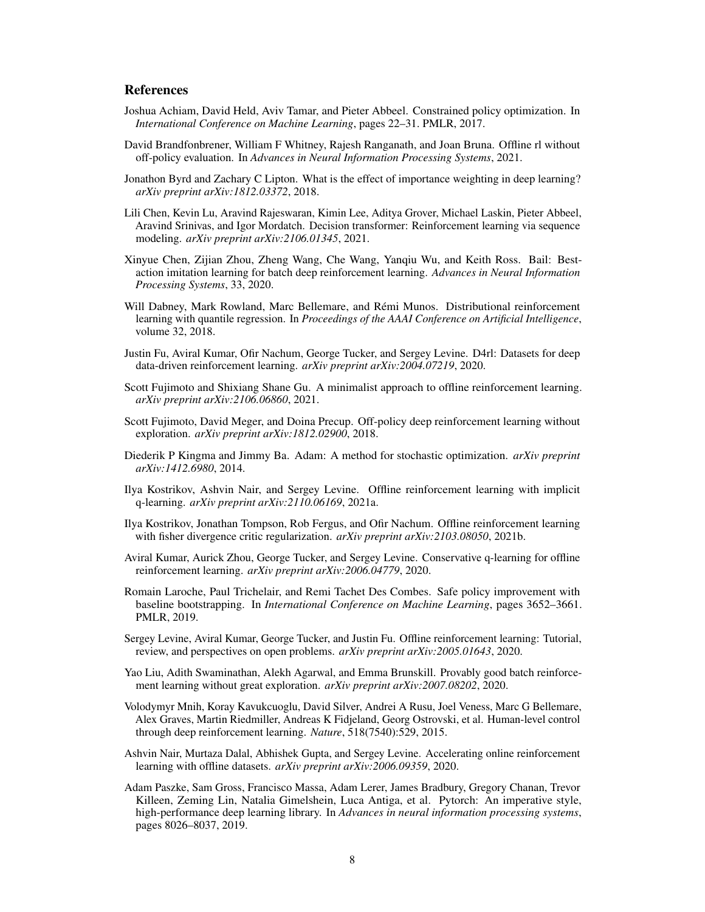# **References**

- <span id="page-7-18"></span>Joshua Achiam, David Held, Aviv Tamar, and Pieter Abbeel. Constrained policy optimization. In *International Conference on Machine Learning*, pages 22–31. PMLR, 2017.
- <span id="page-7-2"></span>David Brandfonbrener, William F Whitney, Rajesh Ranganath, and Joan Bruna. Offline rl without off-policy evaluation. In *Advances in Neural Information Processing Systems*, 2021.
- <span id="page-7-7"></span>Jonathon Byrd and Zachary C Lipton. What is the effect of importance weighting in deep learning? *arXiv preprint arXiv:1812.03372*, 2018.
- <span id="page-7-6"></span>Lili Chen, Kevin Lu, Aravind Rajeswaran, Kimin Lee, Aditya Grover, Michael Laskin, Pieter Abbeel, Aravind Srinivas, and Igor Mordatch. Decision transformer: Reinforcement learning via sequence modeling. *arXiv preprint arXiv:2106.01345*, 2021.
- <span id="page-7-5"></span>Xinyue Chen, Zijian Zhou, Zheng Wang, Che Wang, Yanqiu Wu, and Keith Ross. Bail: Bestaction imitation learning for batch deep reinforcement learning. *Advances in Neural Information Processing Systems*, 33, 2020.
- <span id="page-7-3"></span>Will Dabney, Mark Rowland, Marc Bellemare, and Rémi Munos. Distributional reinforcement learning with quantile regression. In *Proceedings of the AAAI Conference on Artificial Intelligence*, volume 32, 2018.
- <span id="page-7-1"></span>Justin Fu, Aviral Kumar, Ofir Nachum, George Tucker, and Sergey Levine. D4rl: Datasets for deep data-driven reinforcement learning. *arXiv preprint arXiv:2004.07219*, 2020.
- <span id="page-7-13"></span>Scott Fujimoto and Shixiang Shane Gu. A minimalist approach to offline reinforcement learning. *arXiv preprint arXiv:2106.06860*, 2021.
- <span id="page-7-10"></span>Scott Fujimoto, David Meger, and Doina Precup. Off-policy deep reinforcement learning without exploration. *arXiv preprint arXiv:1812.02900*, 2018.
- <span id="page-7-16"></span>Diederik P Kingma and Jimmy Ba. Adam: A method for stochastic optimization. *arXiv preprint arXiv:1412.6980*, 2014.
- <span id="page-7-8"></span>Ilya Kostrikov, Ashvin Nair, and Sergey Levine. Offline reinforcement learning with implicit q-learning. *arXiv preprint arXiv:2110.06169*, 2021a.
- <span id="page-7-14"></span>Ilya Kostrikov, Jonathan Tompson, Rob Fergus, and Ofir Nachum. Offline reinforcement learning with fisher divergence critic regularization. *arXiv preprint arXiv:2103.08050*, 2021b.
- <span id="page-7-9"></span>Aviral Kumar, Aurick Zhou, George Tucker, and Sergey Levine. Conservative q-learning for offline reinforcement learning. *arXiv preprint arXiv:2006.04779*, 2020.
- <span id="page-7-12"></span>Romain Laroche, Paul Trichelair, and Remi Tachet Des Combes. Safe policy improvement with baseline bootstrapping. In *International Conference on Machine Learning*, pages 3652–3661. PMLR, 2019.
- <span id="page-7-0"></span>Sergey Levine, Aviral Kumar, George Tucker, and Justin Fu. Offline reinforcement learning: Tutorial, review, and perspectives on open problems. *arXiv preprint arXiv:2005.01643*, 2020.
- <span id="page-7-11"></span>Yao Liu, Adith Swaminathan, Alekh Agarwal, and Emma Brunskill. Provably good batch reinforcement learning without great exploration. *arXiv preprint arXiv:2007.08202*, 2020.
- <span id="page-7-17"></span>Volodymyr Mnih, Koray Kavukcuoglu, David Silver, Andrei A Rusu, Joel Veness, Marc G Bellemare, Alex Graves, Martin Riedmiller, Andreas K Fidjeland, Georg Ostrovski, et al. Human-level control through deep reinforcement learning. *Nature*, 518(7540):529, 2015.
- <span id="page-7-4"></span>Ashvin Nair, Murtaza Dalal, Abhishek Gupta, and Sergey Levine. Accelerating online reinforcement learning with offline datasets. *arXiv preprint arXiv:2006.09359*, 2020.
- <span id="page-7-15"></span>Adam Paszke, Sam Gross, Francisco Massa, Adam Lerer, James Bradbury, Gregory Chanan, Trevor Killeen, Zeming Lin, Natalia Gimelshein, Luca Antiga, et al. Pytorch: An imperative style, high-performance deep learning library. In *Advances in neural information processing systems*, pages 8026–8037, 2019.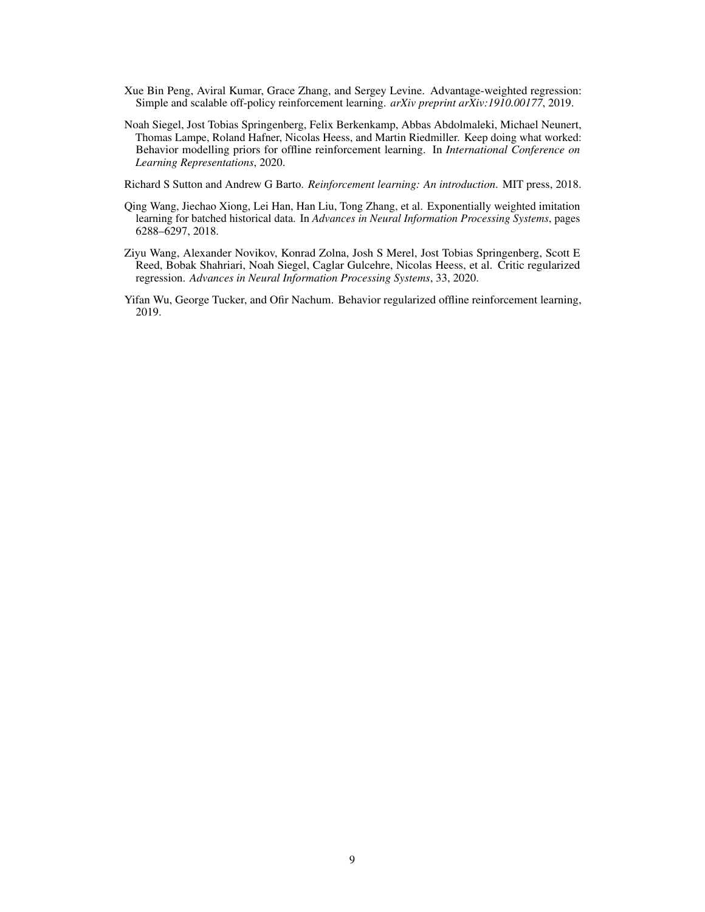- <span id="page-8-2"></span>Xue Bin Peng, Aviral Kumar, Grace Zhang, and Sergey Levine. Advantage-weighted regression: Simple and scalable off-policy reinforcement learning. *arXiv preprint arXiv:1910.00177*, 2019.
- <span id="page-8-3"></span>Noah Siegel, Jost Tobias Springenberg, Felix Berkenkamp, Abbas Abdolmaleki, Michael Neunert, Thomas Lampe, Roland Hafner, Nicolas Heess, and Martin Riedmiller. Keep doing what worked: Behavior modelling priors for offline reinforcement learning. In *International Conference on Learning Representations*, 2020.

<span id="page-8-5"></span>Richard S Sutton and Andrew G Barto. *Reinforcement learning: An introduction*. MIT press, 2018.

- <span id="page-8-0"></span>Qing Wang, Jiechao Xiong, Lei Han, Han Liu, Tong Zhang, et al. Exponentially weighted imitation learning for batched historical data. In *Advances in Neural Information Processing Systems*, pages 6288–6297, 2018.
- <span id="page-8-1"></span>Ziyu Wang, Alexander Novikov, Konrad Zolna, Josh S Merel, Jost Tobias Springenberg, Scott E Reed, Bobak Shahriari, Noah Siegel, Caglar Gulcehre, Nicolas Heess, et al. Critic regularized regression. *Advances in Neural Information Processing Systems*, 33, 2020.
- <span id="page-8-4"></span>Yifan Wu, George Tucker, and Ofir Nachum. Behavior regularized offline reinforcement learning, 2019.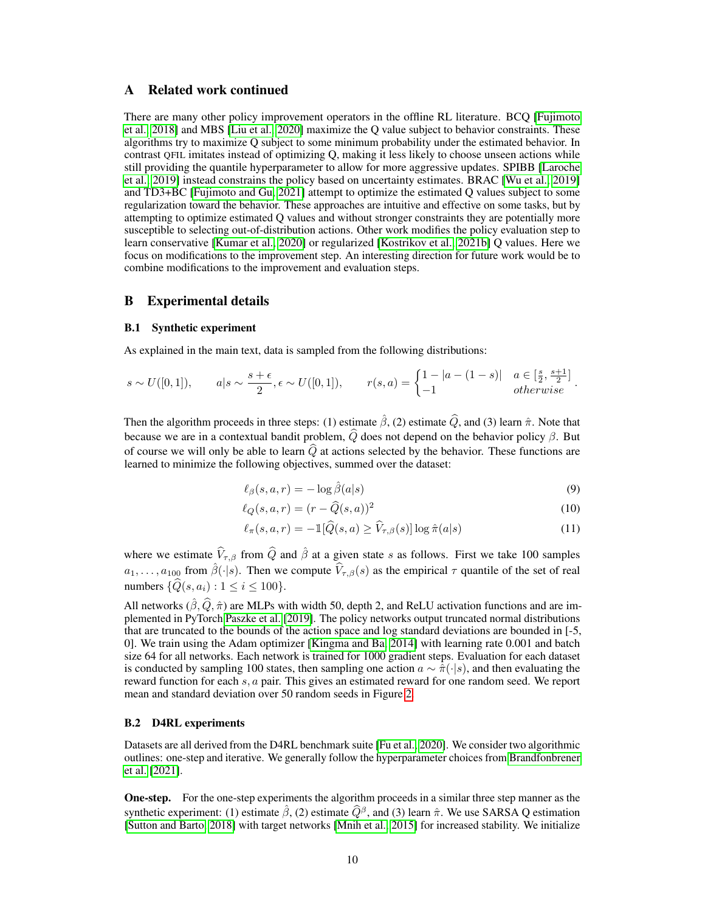# <span id="page-9-0"></span>A Related work continued

There are many other policy improvement operators in the offline RL literature. BCQ [\[Fujimoto](#page-7-10) [et al., 2018\]](#page-7-10) and MBS [\[Liu et al., 2020\]](#page-7-11) maximize the Q value subject to behavior constraints. These algorithms try to maximize Q subject to some minimum probability under the estimated behavior. In contrast QFIL imitates instead of optimizing Q, making it less likely to choose unseen actions while still providing the quantile hyperparameter to allow for more aggressive updates. SPIBB [\[Laroche](#page-7-12) [et al., 2019\]](#page-7-12) instead constrains the policy based on uncertainty estimates. BRAC [\[Wu et al., 2019\]](#page-8-4) and TD3+BC [\[Fujimoto and Gu, 2021\]](#page-7-13) attempt to optimize the estimated Q values subject to some regularization toward the behavior. These approaches are intuitive and effective on some tasks, but by attempting to optimize estimated Q values and without stronger constraints they are potentially more susceptible to selecting out-of-distribution actions. Other work modifies the policy evaluation step to learn conservative [\[Kumar et al., 2020\]](#page-7-9) or regularized [\[Kostrikov et al., 2021b\]](#page-7-14) Q values. Here we focus on modifications to the improvement step. An interesting direction for future work would be to combine modifications to the improvement and evaluation steps.

## <span id="page-9-1"></span>B Experimental details

#### B.1 Synthetic experiment

As explained in the main text, data is sampled from the following distributions:

$$
s \sim U([0,1]), \qquad a|s \sim \frac{s+\epsilon}{2}, \epsilon \sim U([0,1]), \qquad r(s,a) = \begin{cases} 1-|a-(1-s)| & a \in \left[\frac{s}{2}, \frac{s+1}{2}\right] \\ -1 & \text{otherwise} \end{cases}.
$$

Then the algorithm proceeds in three steps: (1) estimate  $\hat{\beta}$ , (2) estimate  $\hat{Q}$ , and (3) learn  $\hat{\pi}$ . Note that because we are in a contextual bandit problem,  $\widehat{Q}$  does not depend on the behavior policy  $\beta$ . But of course we will only be able to learn  $\widehat{Q}$  at actions selected by the behavior. These functions are learned to minimize the following objectives, summed over the dataset:

$$
\ell_{\beta}(s, a, r) = -\log \hat{\beta}(a|s)
$$
\n(9)

$$
\ell_Q(s, a, r) = (r - \widehat{Q}(s, a))^2 \tag{10}
$$

$$
\ell_{\pi}(s, a, r) = -\mathbb{1}[\widehat{Q}(s, a) \ge \widehat{V}_{\tau, \beta}(s)] \log \widehat{\pi}(a|s)
$$
\n(11)

where we estimate  $\hat{V}_{\tau,\beta}$  from  $\hat{Q}$  and  $\hat{\beta}$  at a given state s as follows. First we take 100 samples  $a_1, \ldots, a_{100}$  from  $\hat{\beta}(\cdot|s)$ . Then we compute  $\hat{V}_{\tau,\beta}(s)$  as the empirical  $\tau$  quantile of the set of real numbers  $\{\widehat{Q}(s, a_i) : 1 \le i \le 100\}.$ 

All networks  $(\hat{\beta}, \hat{Q}, \hat{\pi})$  are MLPs with width 50, depth 2, and ReLU activation functions and are implemented in PyTorch [Paszke et al.](#page-7-15) [\[2019\]](#page-7-15). The policy networks output truncated normal distributions that are truncated to the bounds of the action space and log standard deviations are bounded in [-5, 0]. We train using the Adam optimizer [\[Kingma and Ba, 2014\]](#page-7-16) with learning rate 0.001 and batch size 64 for all networks. Each network is trained for 1000 gradient steps. Evaluation for each dataset is conducted by sampling 100 states, then sampling one action  $a \sim \hat{\pi}(\cdot|s)$ , and then evaluating the reward function for each s, a pair. This gives an estimated reward for one random seed. We report mean and standard deviation over 50 random seeds in Figure [2.](#page-5-0)

### B.2 D4RL experiments

Datasets are all derived from the D4RL benchmark suite [\[Fu et al., 2020\]](#page-7-1). We consider two algorithmic outlines: one-step and iterative. We generally follow the hyperparameter choices from [Brandfonbrener](#page-7-2) [et al.](#page-7-2) [\[2021\]](#page-7-2).

One-step. For the one-step experiments the algorithm proceeds in a similar three step manner as the synthetic experiment: (1) estimate  $\hat{\beta}$ , (2) estimate  $\hat{Q}^{\beta}$ , and (3) learn  $\hat{\pi}$ . We use SARSA Q estimation [\[Sutton and Barto, 2018\]](#page-8-5) with target networks [\[Mnih et al., 2015\]](#page-7-17) for increased stability. We initialize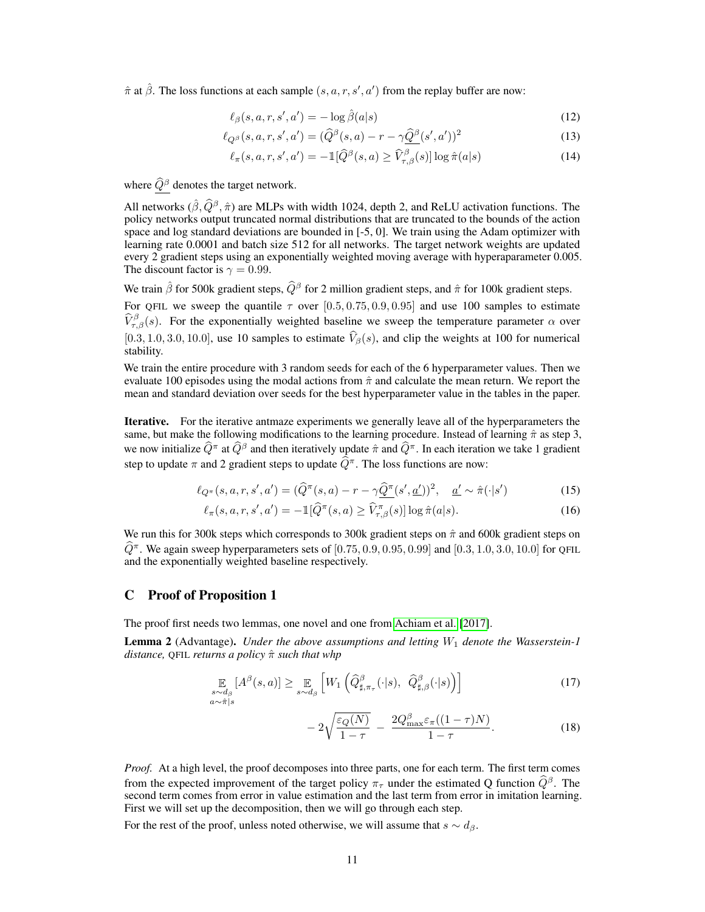$\hat{\pi}$  at  $\hat{\beta}$ . The loss functions at each sample  $(s, a, r, s', a')$  from the replay buffer are now:

$$
\ell_{\beta}(s, a, r, s', a') = -\log \hat{\beta}(a|s)
$$
\n(12)

$$
\ell_{Q^{\beta}}(s, a, r, s', a') = (\widehat{Q}^{\beta}(s, a) - r - \gamma \widehat{Q}^{\beta}(s', a'))^2
$$
\n(13)

$$
\ell_{\pi}(s, a, r, s', a') = -\mathbb{1}[\widehat{Q}^{\beta}(s, a) \ge \widehat{V}_{\tau, \beta}^{\beta}(s)] \log \widehat{\pi}(a|s)
$$
(14)

where  $\widehat{Q}^{\beta}$  denotes the target network.

All networks  $(\hat{\beta}, \hat{Q}^{\beta}, \hat{\pi})$  are MLPs with width 1024, depth 2, and ReLU activation functions. The policy networks output truncated normal distributions that are truncated to the bounds of the action space and log standard deviations are bounded in [-5, 0]. We train using the Adam optimizer with learning rate 0.0001 and batch size 512 for all networks. The target network weights are updated every 2 gradient steps using an exponentially weighted moving average with hyperaparameter 0.005. The discount factor is  $\gamma = 0.99$ .

We train  $\hat{\beta}$  for 500k gradient steps,  $\hat{Q}^{\beta}$  for 2 million gradient steps, and  $\hat{\pi}$  for 100k gradient steps.

For QFIL we sweep the quantile  $\tau$  over [0.5, 0.75, 0.9, 0.95] and use 100 samples to estimate  $\widehat{V}_{\tau,\beta}^{\beta}(s)$ . For the exponentially weighted baseline we sweep the temperature parameter  $\alpha$  over [0.3, 1.0, 3.0, 10.0], use 10 samples to estimate  $\hat{V}_{\beta}(s)$ , and clip the weights at 100 for numerical stability.

We train the entire procedure with 3 random seeds for each of the 6 hyperparameter values. Then we evaluate 100 episodes using the modal actions from  $\hat{\pi}$  and calculate the mean return. We report the mean and standard deviation over seeds for the best hyperparameter value in the tables in the paper.

Iterative. For the iterative antmaze experiments we generally leave all of the hyperparameters the same, but make the following modifications to the learning procedure. Instead of learning  $\hat{\pi}$  as step 3, we now initialize  $\widehat{Q}^{\pi}$  at  $\widehat{Q}^{\beta}$  and then iteratively update  $\widehat{\pi}$  and  $\widehat{Q}^{\pi}$ . In each iteration we take 1 gradient step to update  $\pi$  and 2 gradient steps to update  $\widehat{Q}^{\pi}$ . The loss functions are now:

$$
\ell_{Q^{\pi}}(s, a, r, s', a') = (\widehat{Q}^{\pi}(s, a) - r - \gamma \widehat{\underline{Q}^{\pi}}(s', \underline{a}'))^2, \quad \underline{a'} \sim \widehat{\pi}(\cdot | s')
$$
(15)

$$
\ell_{\pi}(s, a, r, s', a') = -\mathbb{1}[\widehat{Q}^{\pi}(s, a) \ge \widehat{V}_{\tau, \beta}^{\pi}(s)] \log \widehat{\pi}(a|s). \tag{16}
$$

We run this for 300k steps which corresponds to 300k gradient steps on  $\hat{\pi}$  and 600k gradient steps on  $\hat{Q}^{\pi}$ . We again sweep hyperparameters sets of  $[0.75, 0.9, 0.95, 0.99]$  and  $[0.3, 1.0, 3.0, 10.0]$  for QFIL and the exponentially weighted baseline respectively.

## <span id="page-10-0"></span>C Proof of Proposition 1

The proof first needs two lemmas, one novel and one from [Achiam et al.](#page-7-18) [\[2017\]](#page-7-18).

<span id="page-10-1"></span>Lemma 2 (Advantage). *Under the above assumptions and letting*  $W_1$  *denote the Wasserstein-1 distance,* QFIL *returns a policy* πˆ *such that whp*

$$
\mathop{\mathbb{E}}_{\substack{s \sim d_{\beta} \\ a \sim \hat{\pi}|s}} [A^{\beta}(s, a)] \geq \mathop{\mathbb{E}}_{s \sim d_{\beta}} \left[ W_1 \left( \widehat{Q}_{\sharp, \pi_{\tau}}^{\beta}(\cdot | s), \ \widehat{Q}_{\sharp, \beta}^{\beta}(\cdot | s) \right) \right] \tag{17}
$$

$$
-2\sqrt{\frac{\varepsilon_Q(N)}{1-\tau}} - \frac{2Q_{\text{max}}^{\beta}\varepsilon_\pi((1-\tau)N)}{1-\tau}.
$$
 (18)

*Proof.* At a high level, the proof decomposes into three parts, one for each term. The first term comes from the expected improvement of the target policy  $\pi_{\tau}$  under the estimated Q function  $\hat{Q}^{\beta}$ . The second term comes from error in value estimation and the last term from error in imitation learning. First we will set up the decomposition, then we will go through each step.

For the rest of the proof, unless noted otherwise, we will assume that  $s \sim d_{\beta}$ .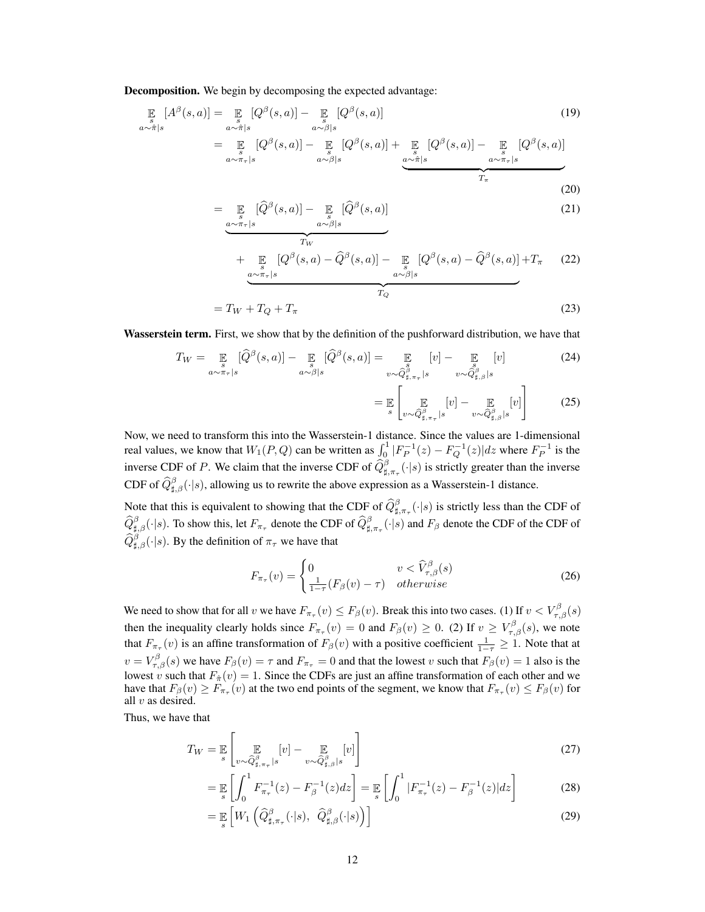Decomposition. We begin by decomposing the expected advantage:

$$
\mathbb{E}_{a \sim \hat{\pi}|s} [A^{\beta}(s, a)] = \mathbb{E}_{a \sim \hat{\pi}|s} [Q^{\beta}(s, a)] - \mathbb{E}_{a \sim \beta|s} [Q^{\beta}(s, a)] \tag{19}
$$
\n
$$
= \mathbb{E}_{a \sim \pi_{\tau}|s} [Q^{\beta}(s, a)] - \mathbb{E}_{a \sim \beta|s} [Q^{\beta}(s, a)] + \mathbb{E}_{a \sim \hat{\pi}|s} [Q^{\beta}(s, a)] - \mathbb{E}_{a \sim \pi_{\tau}|s} [Q^{\beta}(s, a)]
$$
\n
$$
= \mathbb{E}_{a \sim \pi_{\tau}|s} [Q^{\beta}(s, a)] - \mathbb{E}_{a \sim \hat{\pi}|s} [Q^{\beta}(s, a)] - \mathbb{E}_{a \sim \pi_{\tau}|s} [Q^{\beta}(s, a)]
$$
\n
$$
= \mathbb{E}_{a \sim \pi_{\tau}|s} [Q^{\beta}(s, a)] - \mathbb{E}_{a \sim \hat{\pi}|s} [Q^{\beta}(s, a)]
$$
\n
$$
= \mathbb{E}_{a \sim \pi_{\tau}|s} [Q^{\beta}(s, a)] - \mathbb{E}_{a \sim \hat{\pi}|s} [Q^{\beta}(s, a)]
$$
\n
$$
(20)
$$

$$
= \underbrace{\mathbb{E}_{s} [\widehat{Q}^{\beta}(s,a)] - \mathbb{E}_{a \sim \beta \mid s} [\widehat{Q}^{\beta}(s,a)]}_{T_{\text{tr}}}
$$
(21)

$$
T_W
$$
  
+  $\mathbb{E}_{g \sim \pi_r|s} [Q^\beta(s, a) - \widehat{Q}^\beta(s, a)] - \mathbb{E}_{g \sim \beta|s} [Q^\beta(s, a) - \widehat{Q}^\beta(s, a)] + T_\pi$  (22)

$$
=T_W+T_Q+T_\pi\tag{23}
$$

Wasserstein term. First, we show that by the definition of the pushforward distribution, we have that

$$
T_W = \mathop{\mathbb{E}}_{a \sim \pi_\tau | s} [\widehat{Q}^\beta(s, a)] - \mathop{\mathbb{E}}_{a \sim \beta | s} [\widehat{Q}^\beta(s, a)] = \mathop{\mathbb{E}}_{v \sim \widehat{Q}^\beta_{\sharp, \pi_\tau} | s} [v] - \mathop{\mathbb{E}}_{v \sim \widehat{Q}^\beta_{\sharp, \beta} | s} [v]
$$
(24)

$$
= \mathbb{E}\left[\mathbb{E}\left[v\right] - \mathbb{E}\left[v\right] - \mathbb{E}\left[v\right]\right] \qquad (25)
$$

Now, we need to transform this into the Wasserstein-1 distance. Since the values are 1-dimensional real values, we know that  $W_1(P,Q)$  can be written as  $\int_0^1 |F_P^{-1}(z) - F_Q^{-1}(z)| dz$  where  $F_P^{-1}$  is the inverse CDF of P. We claim that the inverse CDF of  $\hat{Q}_{\sharp,\pi_{\tau}}^{\beta}(\cdot|s)$  is strictly greater than the inverse CDF of  $\widehat{Q}_{\sharp,\beta}^{\beta}(\cdot|s)$ , allowing us to rewrite the above expression as a Wasserstein-1 distance.

Note that this is equivalent to showing that the CDF of  $\hat{Q}_{\sharp,\pi_{\tau}}^{\beta}(\cdot|s)$  is strictly less than the CDF of  $\widehat{Q}_{\sharp,\beta}^{\beta}(\cdot|s)$ . To show this, let  $F_{\pi_{\tau}}$  denote the CDF of  $\widehat{Q}_{\sharp,\pi_{\tau}}^{\beta}(\cdot|s)$  and  $F_{\beta}$  denote the CDF of the CDF of  $\widehat{Q}_{\sharp,\beta}^{\beta}(\cdot|s)$ . By the definition of  $\pi_{\tau}$  we have that

$$
F_{\pi_{\tau}}(v) = \begin{cases} 0 & v < \widehat{V}_{\tau,\beta}^{\beta}(s) \\ \frac{1}{1-\tau}(F_{\beta}(v)-\tau) & otherwise \end{cases}
$$
 (26)

We need to show that for all v we have  $F_{\pi_\tau}(v) \leq F_\beta(v)$ . Break this into two cases. (1) If  $v < V_{\tau,\beta}^{\beta}(s)$ then the inequality clearly holds since  $F_{\pi_{\tau}}(v) = 0$  and  $F_{\beta}(v) \ge 0$ . (2) If  $v \ge V_{\tau,\beta}^{\beta}(s)$ , we note that  $F_{\pi_{\tau}}(v)$  is an affine transformation of  $F_{\beta}(v)$  with a positive coefficient  $\frac{1}{1-\tau} \geq 1$ . Note that at  $v = V_{\tau,\beta}^{\beta}(s)$  we have  $F_{\beta}(v) = \tau$  and  $F_{\pi_{\tau}} = 0$  and that the lowest v such that  $F_{\beta}(v) = 1$  also is the lowest v such that  $F_{\hat{\pi}}(v) = 1$ . Since the CDFs are just an affine transformation of each other and we have that  $F_\beta(v) \ge F_{\pi_\tau}(v)$  at the two end points of the segment, we know that  $F_{\pi_\tau}(v) \le F_\beta(v)$  for all  $v$  as desired.

Thus, we have that

$$
T_W = \mathbb{E}\left[\mathbb{E}\left[v\right] - \mathbb{E}\left[v\right]\right] - \mathbb{E}\left[v\right] \tag{27}
$$

$$
= \mathbb{E}\left[\int_0^1 F_{\pi_\tau}^{-1}(z) - F_\beta^{-1}(z)dz\right] = \mathbb{E}\left[\int_0^1 |F_{\pi_\tau}^{-1}(z) - F_\beta^{-1}(z)|dz\right]
$$
(28)

$$
= \mathbb{E}_s \left[ W_1 \left( \widehat{Q}_{\sharp,\pi_\tau}^\beta(\cdot|s), \ \widehat{Q}_{\sharp,\beta}^\beta(\cdot|s) \right) \right] \tag{29}
$$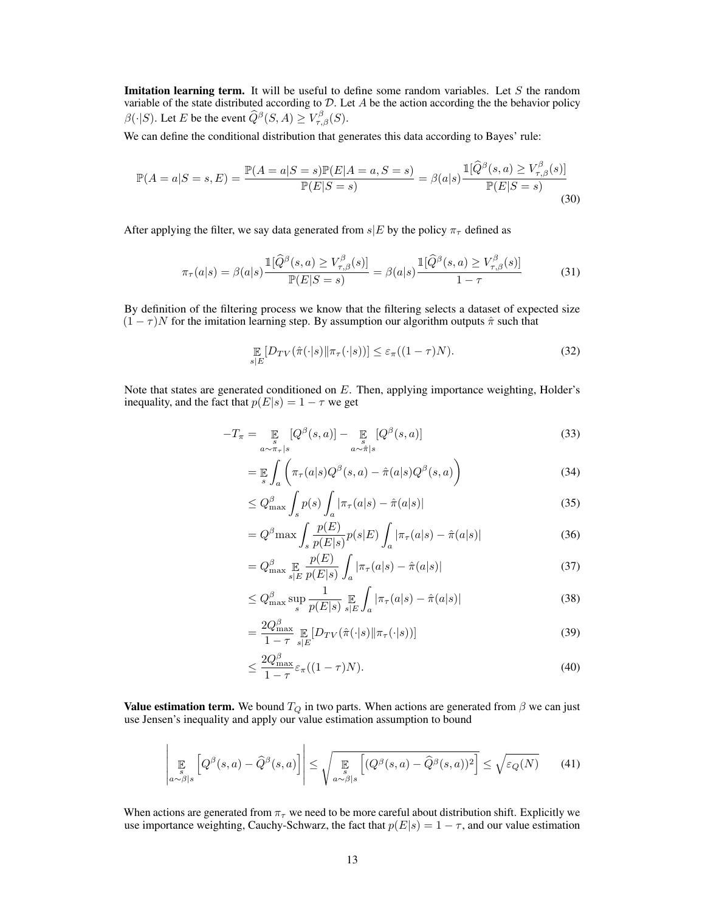**Imitation learning term.** It will be useful to define some random variables. Let  $S$  the random variable of the state distributed according to  $D$ . Let  $A$  be the action according the the behavior policy  $\beta(\cdot|S)$ . Let E be the event  $\widehat{Q}^{\beta}(S, A) \geq V_{\tau, \beta}^{\beta}(S)$ .

We can define the conditional distribution that generates this data according to Bayes' rule:

$$
\mathbb{P}(A=a|S=s,E) = \frac{\mathbb{P}(A=a|S=s)\mathbb{P}(E|A=a,S=s)}{\mathbb{P}(E|S=s)} = \beta(a|s) \frac{\mathbb{I}[\widehat{Q}^{\beta}(s,a) \ge V_{\tau,\beta}^{\beta}(s)]}{\mathbb{P}(E|S=s)}
$$
(30)

After applying the filter, we say data generated from  $s|E$  by the policy  $\pi_{\tau}$  defined as

$$
\pi_{\tau}(a|s) = \beta(a|s) \frac{\mathbb{1}[\widehat{Q}^{\beta}(s,a) \ge V_{\tau,\beta}^{\beta}(s)]}{\mathbb{P}(E|S=s)} = \beta(a|s) \frac{\mathbb{1}[\widehat{Q}^{\beta}(s,a) \ge V_{\tau,\beta}^{\beta}(s)]}{1-\tau}
$$
(31)

By definition of the filtering process we know that the filtering selects a dataset of expected size  $(1 - \tau)N$  for the imitation learning step. By assumption our algorithm outputs  $\hat{\pi}$  such that

$$
\mathop{\mathbb{E}}_{s|E} \left[ D_{TV}(\hat{\pi}(\cdot|s) || \pi_{\tau}(\cdot|s)) \right] \le \varepsilon_{\pi}((1-\tau)N). \tag{32}
$$

Note that states are generated conditioned on E. Then, applying importance weighting, Holder's inequality, and the fact that  $p(E|s) = 1 - \tau$  we get

$$
-T_{\pi} = \mathop{\mathbb{E}}_{a \sim \pi_{\tau} |s} [Q^{\beta}(s, a)] - \mathop{\mathbb{E}}_{a \sim \hat{\pi} |s} [Q^{\beta}(s, a)] \tag{33}
$$

$$
= \mathbb{E}\int_{a} \left(\pi_{\tau}(a|s)Q^{\beta}(s,a) - \hat{\pi}(a|s)Q^{\beta}(s,a)\right)
$$
\n(34)

$$
\leq Q_{\max}^{\beta} \int_{s} p(s) \int_{a} |\pi_{\tau}(a|s) - \hat{\pi}(a|s)| \tag{35}
$$

$$
= Q^{\beta} \max \int_{s} \frac{p(E)}{p(E|s)} p(s|E) \int_{a} |\pi_{\tau}(a|s) - \hat{\pi}(a|s)| \tag{36}
$$

$$
= Q_{\max}^{\beta} \underset{s|E}{\mathbb{E}} \frac{p(E)}{p(E|s)} \int_{a} |\pi_{\tau}(a|s) - \hat{\pi}(a|s)| \tag{37}
$$

$$
\leq Q_{\max}^{\beta} \sup_{s} \frac{1}{p(E|s)} \mathop{\mathbb{E}}_{s|E} \int_{a} |\pi_{\tau}(a|s) - \hat{\pi}(a|s)| \tag{38}
$$

$$
=\frac{2Q_{\max}^{\beta}}{1-\tau}\mathop{\mathbb{E}}_{s|E}[D_{TV}(\hat{\pi}(\cdot|s)||\pi_{\tau}(\cdot|s))]
$$
(39)

$$
\leq \frac{2Q_{\text{max}}^{\beta}}{1-\tau} \varepsilon_{\pi} ((1-\tau)N). \tag{40}
$$

**Value estimation term.** We bound  $T_Q$  in two parts. When actions are generated from  $\beta$  we can just use Jensen's inequality and apply our value estimation assumption to bound

$$
\left| \mathop{\mathbb{E}}_{a \sim \beta | s} \left[ Q^{\beta}(s, a) - \widehat{Q}^{\beta}(s, a) \right] \right| \leq \sqrt{\mathop{\mathbb{E}}_{a \sim \beta | s} \left[ (Q^{\beta}(s, a) - \widehat{Q}^{\beta}(s, a))^{2} \right]} \leq \sqrt{\varepsilon_{Q}(N)} \tag{41}
$$

When actions are generated from  $\pi_{\tau}$  we need to be more careful about distribution shift. Explicitly we use importance weighting, Cauchy-Schwarz, the fact that  $p(E|s) = 1 - \tau$ , and our value estimation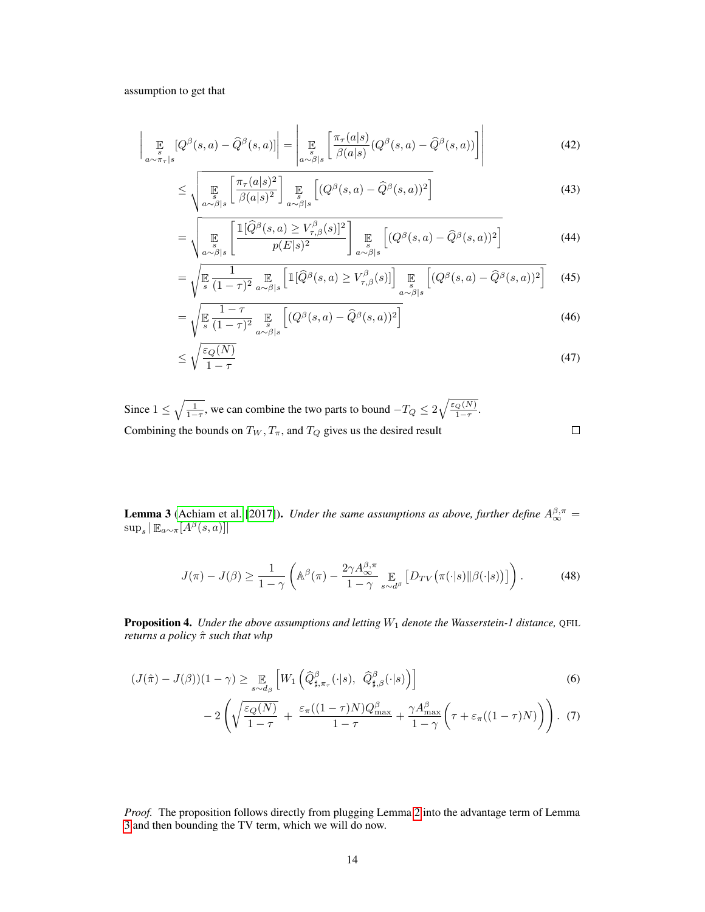assumption to get that

$$
\left| \mathop{\mathbb{E}}_{a \sim \pi_{\tau} | s} [Q^{\beta}(s, a) - \widehat{Q}^{\beta}(s, a)] \right| = \left| \mathop{\mathbb{E}}_{a \sim \beta | s} \left[ \frac{\pi_{\tau}(a|s)}{\beta(a|s)} (Q^{\beta}(s, a) - \widehat{Q}^{\beta}(s, a)) \right] \right| \tag{42}
$$

$$
\leq \sqrt{\mathbb{E}_{a \sim \beta | s} \left[ \frac{\pi_{\tau}(a|s)^2}{\beta(a|s)^2} \right] \mathbb{E}_{a \sim \beta | s} \left[ (Q^{\beta}(s, a) - \widehat{Q}^{\beta}(s, a))^2 \right]}
$$
(43)

$$
= \sqrt{\mathbb{E}_{a \sim \beta | s} \left[ \frac{\mathbb{1}[\widehat{Q}^{\beta}(s, a) \ge V_{\tau, \beta}^{\beta}(s)]^2}{p(E|s)^2} \right]} \mathbb{E}_{a \sim \beta | s} \left[ (Q^{\beta}(s, a) - \widehat{Q}^{\beta}(s, a))^2 \right]
$$
(44)

$$
= \sqrt{\mathbb{E} \frac{1}{(1-\tau)^2} \mathbb{E} \left[ \mathbb{1}[\widehat{Q}^{\beta}(s,a) \ge V_{\tau,\beta}^{\beta}(s)] \right] \mathbb{E} \left[ (Q^{\beta}(s,a) - \widehat{Q}^{\beta}(s,a))^2 \right]} \tag{45}
$$

$$
= \sqrt{\mathbb{E}\left[\frac{1-\tau}{s(1-\tau)^2}\mathbb{E}\left[(Q^\beta(s,a) - \widehat{Q}^\beta(s,a))^2\right]\right]}\tag{46}
$$

$$
\leq \sqrt{\frac{\varepsilon_Q(N)}{1-\tau}}\tag{47}
$$

 $\Box$ 

Since  $1 \leq \sqrt{\frac{1}{1-\tau}}$ , we can combine the two parts to bound  $-T_Q \leq 2\sqrt{\frac{\varepsilon_Q(N)}{1-\tau}}$ . Combining the bounds on  $T_W, T_\pi,$  and  $T_Q$  gives us the desired result

<span id="page-13-0"></span>**Lemma 3** [\(Achiam et al.](#page-7-18) [\[2017\]](#page-7-18)). *Under the same assumptions as above, further define*  $A_{\infty}^{\beta,\pi}$  =  $\sup_s | \mathbb{E}_{a \sim \pi}[A^{\beta}(s, a)]|$ 

$$
J(\pi) - J(\beta) \ge \frac{1}{1 - \gamma} \left( \mathbb{A}^{\beta}(\pi) - \frac{2\gamma A_{\infty}^{\beta, \pi}}{1 - \gamma} \mathbb{E}_{s \sim d^{\beta}} \left[ D_{TV}(\pi(\cdot|s) || \beta(\cdot|s)) \right] \right). \tag{48}
$$

Proposition 4. *Under the above assumptions and letting*  $W_1$  *denote the Wasserstein-1 distance*, QFIL *returns a policy* πˆ *such that whp*

$$
(J(\hat{\pi}) - J(\beta))(1 - \gamma) \ge \mathop{\mathbb{E}}_{s \sim d_{\beta}} \left[ W_1 \left( \widehat{Q}_{\sharp,\pi_{\tau}}^{\beta}(\cdot | s), \widehat{Q}_{\sharp,\beta}^{\beta}(\cdot | s) \right) \right]
$$
(6)

$$
-2\left(\sqrt{\frac{\varepsilon_Q(N)}{1-\tau}} + \frac{\varepsilon_\pi((1-\tau)N)Q_{\text{max}}^{\beta}}{1-\tau} + \frac{\gamma A_{\text{max}}^{\beta}}{1-\gamma}\left(\tau + \varepsilon_\pi((1-\tau)N)\right)\right).
$$
 (7)

*Proof.* The proposition follows directly from plugging Lemma [2](#page-10-1) into the advantage term of Lemma [3](#page-13-0) and then bounding the TV term, which we will do now.